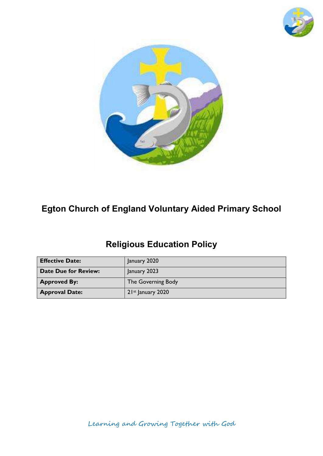



# **Egton Church of England Voluntary Aided Primary School**

# **Religious Education Policy**

| <b>Effective Date:</b> | January 2020        |
|------------------------|---------------------|
| Date Due for Review:   | January 2023        |
| <b>Approved By:</b>    | The Governing Body  |
| <b>Approval Date:</b>  | $21st$ January 2020 |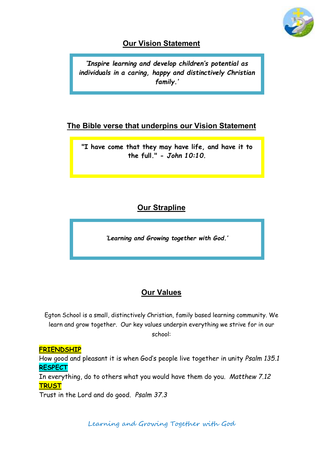

#### **Our Vision Statement**

*'Inspire learning and develop children's potential as individuals in a caring, happy and distinctively Christian family.'* 

#### **The Bible verse that underpins our Vision Statement**

**"I have come that they may have life, and have it to the full." -** *John 10:10.*

### **Our Strapline**

*'Learning and Growing together with God.'*

## **Our Values**

Egton School is a small, distinctively Christian, family based learning community. We learn and grow together. Our key values underpin everything we strive for in our school:

#### **FRIENDSHIP**

How good and pleasant it is when God's people live together in unity *Psalm 135.1* **RESPECT**

In everything, do to others what you would have them do you. *Matthew 7.12* **TRUST**

Trust in the Lord and do good. *Psalm 37.3* 

Learning and Growing Together with God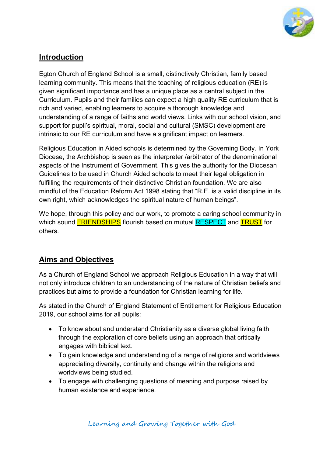

#### **Introduction**

Egton Church of England School is a small, distinctively Christian, family based learning community. This means that the teaching of religious education (RE) is given significant importance and has a unique place as a central subject in the Curriculum. Pupils and their families can expect a high quality RE curriculum that is rich and varied, enabling learners to acquire a thorough knowledge and understanding of a range of faiths and world views. Links with our school vision, and support for pupil's spiritual, moral, social and cultural (SMSC) development are intrinsic to our RE curriculum and have a significant impact on learners.

Religious Education in Aided schools is determined by the Governing Body. In York Diocese, the Archbishop is seen as the interpreter /arbitrator of the denominational aspects of the Instrument of Government. This gives the authority for the Diocesan Guidelines to be used in Church Aided schools to meet their legal obligation in fulfilling the requirements of their distinctive Christian foundation. We are also mindful of the Education Reform Act 1998 stating that "R.E. is a valid discipline in its own right, which acknowledges the spiritual nature of human beings".

We hope, through this policy and our work, to promote a caring school community in which sound **FRIENDSHIPS** flourish based on mutual RESPECT and TRUST for others.

#### **Aims and Objectives**

As a Church of England School we approach Religious Education in a way that will not only introduce children to an understanding of the nature of Christian beliefs and practices but aims to provide a foundation for Christian learning for life.

As stated in the Church of England Statement of Entitlement for Religious Education 2019, our school aims for all pupils:

- To know about and understand Christianity as a diverse global living faith through the exploration of core beliefs using an approach that critically engages with biblical text.
- To gain knowledge and understanding of a range of religions and worldviews appreciating diversity, continuity and change within the religions and worldviews being studied.
- To engage with challenging questions of meaning and purpose raised by human existence and experience.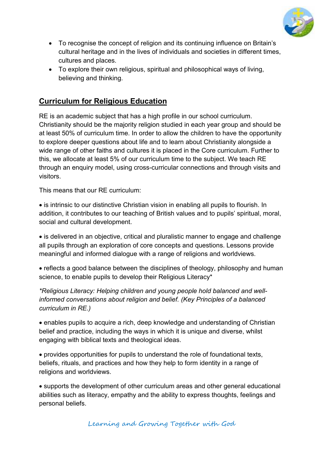

- To recognise the concept of religion and its continuing influence on Britain's cultural heritage and in the lives of individuals and societies in different times, cultures and places.
- To explore their own religious, spiritual and philosophical ways of living, believing and thinking.

#### **Curriculum for Religious Education**

RE is an academic subject that has a high profile in our school curriculum. Christianity should be the majority religion studied in each year group and should be at least 50% of curriculum time. In order to allow the children to have the opportunity to explore deeper questions about life and to learn about Christianity alongside a wide range of other faiths and cultures it is placed in the Core curriculum. Further to this, we allocate at least 5% of our curriculum time to the subject. We teach RE through an enquiry model, using cross-curricular connections and through visits and visitors.

This means that our RE curriculum:

• is intrinsic to our distinctive Christian vision in enabling all pupils to flourish. In addition, it contributes to our teaching of British values and to pupils' spiritual, moral, social and cultural development.

 is delivered in an objective, critical and pluralistic manner to engage and challenge all pupils through an exploration of core concepts and questions. Lessons provide meaningful and informed dialogue with a range of religions and worldviews.

 reflects a good balance between the disciplines of theology, philosophy and human science, to enable pupils to develop their Religious Literacy\*

*\*Religious Literacy: Helping children and young people hold balanced and wellinformed conversations about religion and belief. (Key Principles of a balanced curriculum in RE.)* 

 enables pupils to acquire a rich, deep knowledge and understanding of Christian belief and practice, including the ways in which it is unique and diverse, whilst engaging with biblical texts and theological ideas.

 provides opportunities for pupils to understand the role of foundational texts, beliefs, rituals, and practices and how they help to form identity in a range of religions and worldviews.

 supports the development of other curriculum areas and other general educational abilities such as literacy, empathy and the ability to express thoughts, feelings and personal beliefs.

Learning and Growing Together with God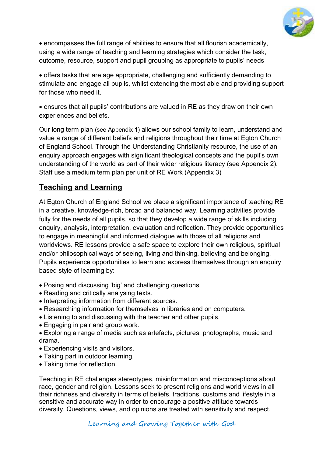

 encompasses the full range of abilities to ensure that all flourish academically, using a wide range of teaching and learning strategies which consider the task, outcome, resource, support and pupil grouping as appropriate to pupils' needs

 offers tasks that are age appropriate, challenging and sufficiently demanding to stimulate and engage all pupils, whilst extending the most able and providing support for those who need it.

 ensures that all pupils' contributions are valued in RE as they draw on their own experiences and beliefs.

Our long term plan (see Appendix 1) allows our school family to learn, understand and value a range of different beliefs and religions throughout their time at Egton Church of England School. Through the Understanding Christianity resource, the use of an enquiry approach engages with significant theological concepts and the pupil's own understanding of the world as part of their wider religious literacy (see Appendix 2). Staff use a medium term plan per unit of RE Work (Appendix 3)

#### **Teaching and Learning**

At Egton Church of England School we place a significant importance of teaching RE in a creative, knowledge-rich, broad and balanced way. Learning activities provide fully for the needs of all pupils, so that they develop a wide range of skills including enquiry, analysis, interpretation, evaluation and reflection. They provide opportunities to engage in meaningful and informed dialogue with those of all religions and worldviews. RE lessons provide a safe space to explore their own religious, spiritual and/or philosophical ways of seeing, living and thinking, believing and belonging. Pupils experience opportunities to learn and express themselves through an enquiry based style of learning by:

- Posing and discussing 'big' and challenging questions
- Reading and critically analysing texts.
- Interpreting information from different sources.
- Researching information for themselves in libraries and on computers.
- Listening to and discussing with the teacher and other pupils.
- Engaging in pair and group work.
- Exploring a range of media such as artefacts, pictures, photographs, music and drama.
- Experiencing visits and visitors.
- Taking part in outdoor learning.
- Taking time for reflection.

Teaching in RE challenges stereotypes, misinformation and misconceptions about race, gender and religion. Lessons seek to present religions and world views in all their richness and diversity in terms of beliefs, traditions, customs and lifestyle in a sensitive and accurate way in order to encourage a positive attitude towards diversity. Questions, views, and opinions are treated with sensitivity and respect.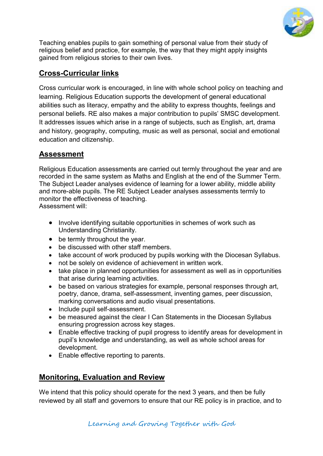

Teaching enables pupils to gain something of personal value from their study of religious belief and practice, for example, the way that they might apply insights gained from religious stories to their own lives.

#### **Cross-Curricular links**

Cross curricular work is encouraged, in line with whole school policy on teaching and learning. Religious Education supports the development of general educational abilities such as literacy, empathy and the ability to express thoughts, feelings and personal beliefs. RE also makes a major contribution to pupils' SMSC development. It addresses issues which arise in a range of subjects, such as English, art, drama and history, geography, computing, music as well as personal, social and emotional education and citizenship.

#### **Assessment**

Religious Education assessments are carried out termly throughout the year and are recorded in the same system as Maths and English at the end of the Summer Term. The Subject Leader analyses evidence of learning for a lower ability, middle ability and more-able pupils. The RE Subject Leader analyses assessments termly to monitor the effectiveness of teaching. Assessment will:

- Involve identifying suitable opportunities in schemes of work such as Understanding Christianity.
- be termly throughout the year.
- be discussed with other staff members.
- take account of work produced by pupils working with the Diocesan Syllabus.
- not be solely on evidence of achievement in written work.
- take place in planned opportunities for assessment as well as in opportunities that arise during learning activities.
- be based on various strategies for example, personal responses through art, poetry, dance, drama, self-assessment, inventing games, peer discussion, marking conversations and audio visual presentations.
- Include pupil self-assessment.
- be measured against the clear I Can Statements in the Diocesan Syllabus ensuring progression across key stages.
- Enable effective tracking of pupil progress to identify areas for development in pupil's knowledge and understanding, as well as whole school areas for development.
- Enable effective reporting to parents.

#### **Monitoring, Evaluation and Review**

We intend that this policy should operate for the next 3 years, and then be fully reviewed by all staff and governors to ensure that our RE policy is in practice, and to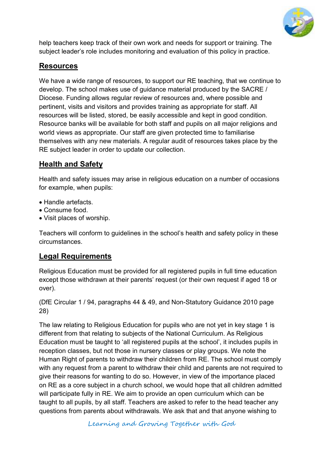

help teachers keep track of their own work and needs for support or training. The subject leader's role includes monitoring and evaluation of this policy in practice.

#### **Resources**

We have a wide range of resources, to support our RE teaching, that we continue to develop. The school makes use of guidance material produced by the SACRE / Diocese. Funding allows regular review of resources and, where possible and pertinent, visits and visitors and provides training as appropriate for staff. All resources will be listed, stored, be easily accessible and kept in good condition. Resource banks will be available for both staff and pupils on all major religions and world views as appropriate. Our staff are given protected time to familiarise themselves with any new materials. A regular audit of resources takes place by the RE subject leader in order to update our collection.

#### **Health and Safety**

Health and safety issues may arise in religious education on a number of occasions for example, when pupils:

- Handle artefacts.
- Consume food.
- Visit places of worship.

Teachers will conform to guidelines in the school's health and safety policy in these circumstances.

#### **Legal Requirements**

Religious Education must be provided for all registered pupils in full time education except those withdrawn at their parents' request (or their own request if aged 18 or over).

(DfE Circular 1 / 94, paragraphs 44 & 49, and Non-Statutory Guidance 2010 page 28)

The law relating to Religious Education for pupils who are not yet in key stage 1 is different from that relating to subjects of the National Curriculum. As Religious Education must be taught to 'all registered pupils at the school', it includes pupils in reception classes, but not those in nursery classes or play groups. We note the Human Right of parents to withdraw their children from RE. The school must comply with any request from a parent to withdraw their child and parents are not required to give their reasons for wanting to do so. However, in view of the importance placed on RE as a core subject in a church school, we would hope that all children admitted will participate fully in RE. We aim to provide an open curriculum which can be taught to all pupils, by all staff. Teachers are asked to refer to the head teacher any questions from parents about withdrawals. We ask that and that anyone wishing to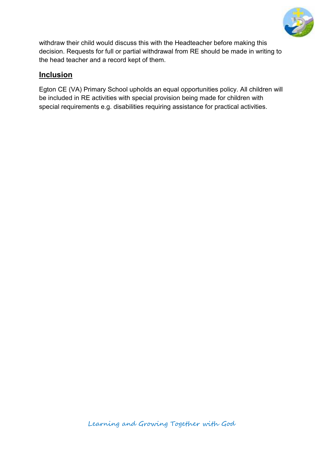

withdraw their child would discuss this with the Headteacher before making this decision. Requests for full or partial withdrawal from RE should be made in writing to the head teacher and a record kept of them.

#### **Inclusion**

Egton CE (VA) Primary School upholds an equal opportunities policy. All children will be included in RE activities with special provision being made for children with special requirements e.g. disabilities requiring assistance for practical activities.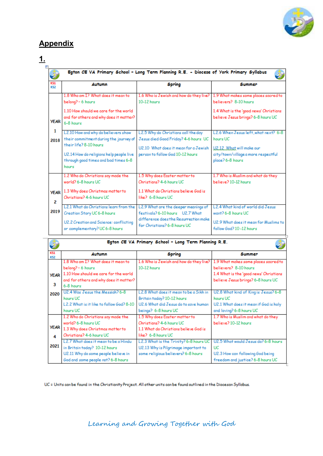

#### **Appendix**

# $\frac{1}{\Box}$

| <b>KS1</b><br><b>KS2</b> | Autumn                                                                                                                                                                                              | <b>Spring</b>                                                                                                                                           | <b>Summer</b>                                                                                                                              |
|--------------------------|-----------------------------------------------------------------------------------------------------------------------------------------------------------------------------------------------------|---------------------------------------------------------------------------------------------------------------------------------------------------------|--------------------------------------------------------------------------------------------------------------------------------------------|
| <b>YEAR</b>              | 1.8 Who am I? What does it mean to<br>belong? - 6 hours<br>1.10 How should we care for the world<br>and for others and why does it matter?<br>6-8 hours                                             | 1.6 Who is Jewish and how do they live? 1.9 What makes some places sacred to<br>10-12 hours                                                             | believers? 8-10 hours<br>1.4 What is the 'good news' Christians<br>believe Jesus brings? 6-8 hours UC                                      |
| 1<br>2018                | L2.10 How and why do believers show<br>their commitment during the journey of<br>their life? 8-10 hours<br>U2.14 How do religions help people live<br>through good times and bad times 6-8<br>hours | L2.5 Why do Christians call the day<br>Jesus died Good Friday? 4-6 hours UC<br>U2.10 What does it mean for a Jewish<br>person to follow God 10-12 hours | L2.6 When Jesus left, what next? 6-8<br>hours UC<br>U2.12. What will make our<br>city/town/village a more respectful<br>place? 6-8 hours   |
| 2                        | 1.2 Who do Christians say made the<br>world? 6-8 hours UC<br><b>YEAR</b> 1.3 Why does Christmas matter to<br>Christians? 4-6 hours UC                                                               | 1.5 Why does Easter matter to<br>Christians? 4-6 hours UC<br>1.1 What do Christians believe God is<br>like? 6-8 hours UC                                | 1.7 Who is Muslim and what do they<br>believe? 10-12 hours                                                                                 |
| 2019                     | L2.1 What do Christians learn from the<br>Creation Story UC 6-8 hours<br>U2.2 Creation and Science: conflicting<br>or complementary? UC6-8 hours                                                    | L2.9 What are the deeper meanings of<br>festivals? 6-10 hours U2.7 What<br>difference does the Resurrection make<br>for Christians? 6-8 hours UC        | L <sub>2</sub> .4 What kind of world did Jesus<br>want? $6-8$ hours UC<br>U2.9 What does it mean for Muslims to<br>follow God? 10-12 hours |

|                          | Egton CE VA Primary School - Long Term Planning R.E. |                                         |                                        |  |
|--------------------------|------------------------------------------------------|-----------------------------------------|----------------------------------------|--|
| <b>KS1</b><br><b>KS2</b> | Autumn                                               | Spring                                  | Summer                                 |  |
|                          | 1.8 Who am I? What does it mean to                   | 1.6 Who is Jewish and how do they live? | 1.9 What makes some places sacred to   |  |
|                          | belong? - 6 hours                                    | 10-12 hours                             | believers? 8-10 hours                  |  |
| <b>YEAR</b>              | 1.10 How should we care for the world                |                                         | 1.4 What is the 'good news' Christians |  |
|                          | and for others and why does it matter?               |                                         | believe Jesus brings? 6-8 hours UC     |  |
| 3                        | 6-8 hours                                            |                                         |                                        |  |
| 2020                     | U2.4 Was Jesus the Messiah? 6-8                      | L2.8 What does it mean to be a Sikh in  | U2.8 What kind of King is Jesus? 6-8   |  |
|                          | hours UC                                             | Britain today? 10-12 hours              | hours UC                               |  |
|                          | L2.2 What is it like to follow God? 8-10             | U2.6 What did Jesus do to save human    | U2.1 What does it mean if God is holy  |  |
|                          | hours UC                                             | beings? 6-8 hours UC                    | and loving? 6-8 hours UC               |  |
|                          | 1.2 Who do Christians say made the                   | 1.5 Why does Easter matter to           | 1.7 Who is Muslim and what do they     |  |
|                          | world? 6-8 hours UC                                  | Christians? 4-6 hours UC                | believe? 10-12 hours                   |  |
| <b>YEAR</b>              | 1.3 Why does Christmas matter to                     | 1.1 What do Christians believe God is   |                                        |  |
| 4                        | Christians? 4-6 hours UC                             | like? 6-8 hours UC                      |                                        |  |
|                          | L2.7 What does it mean to be a Hindu                 | L2.3 What is the Trinity? 6-8 hours UC  | U2.5 What would Jesus do? 6-8 hours    |  |
| 2021                     | in Britain today? 10-12 hours                        | U2.13 Why is Pilgrimage important to    | UC.                                    |  |
|                          | U2.11 Why do some people believe in                  | some religious believers? 6-8 hours     | U2.3 How can following God being       |  |
|                          | God and some people not? 6-8 hours                   |                                         | freedom and justice? 6-8 hours UC      |  |

UC = Units can be found in the Christianity Project. All other units can be found outlined in the Diocesan Syllabus.

Learning and Growing Together with God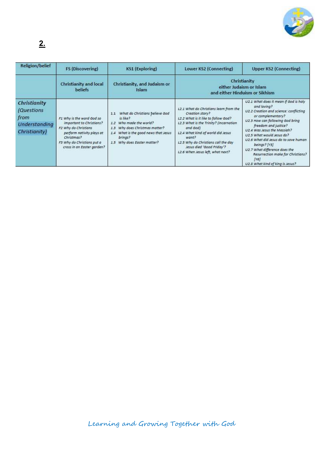

## **2.**

| <b>Religion/belief</b>                                                      | <b>FS (Discovering)</b>                                                                                                                                                              | <b>KS1 (Exploring)</b>                                                                                                                                                                              | Lower KS2 (Connecting)                                                                                                                                                                                                                                                                                       | Upper KS2 (Connecting)                                                                                                                                                                                                                                                                                                                                                                                                |
|-----------------------------------------------------------------------------|--------------------------------------------------------------------------------------------------------------------------------------------------------------------------------------|-----------------------------------------------------------------------------------------------------------------------------------------------------------------------------------------------------|--------------------------------------------------------------------------------------------------------------------------------------------------------------------------------------------------------------------------------------------------------------------------------------------------------------|-----------------------------------------------------------------------------------------------------------------------------------------------------------------------------------------------------------------------------------------------------------------------------------------------------------------------------------------------------------------------------------------------------------------------|
|                                                                             | <b>Christianity and local</b><br>beliefs                                                                                                                                             | Christianity, and Judaism or<br>Islam                                                                                                                                                               |                                                                                                                                                                                                                                                                                                              | Christianity<br>either Judaism or Islam<br>and either Hinduism or Sikhism                                                                                                                                                                                                                                                                                                                                             |
| Christianity<br><i>(Questions</i><br>from<br>Understanding<br>Christianity) | F1 Why is the word God so<br>important to Christians?<br>F2 Why do Christians<br>perform nativity plays at<br>Christmas?<br>F3 Why do Christians put a<br>cross in an Easter garden? | What do Christians believe God<br>1.1<br>is like?<br>1.2 Who made the world?<br>1.3 Why does Christmas matter?<br>What is the good news that Jesus<br>1.4<br>brings?<br>1.5 Why does Easter matter? | L2.1 What do Christians learn from the<br>Creation story?<br>L2.2 What is it like to follow God?<br>L2.3 What is the Trinity? (Incarnation<br>and God)<br>L2.4 What kind of world did Jesus<br>want?<br>L2.5 Why do Christians call the day<br>Jesus died 'Good Friday'?<br>L2.6 When Jesus left, what next? | U2.1 What does it mean if God is holy<br>and loving?<br>U2.2 Creation and science: conflicting<br>or complementary?<br>U2.3 How can following God bring<br>freedom and justice?<br>U2.4 Was Jesus the Messigh?<br>U2.5 What would Jesus do?<br>U2.6 What did Jesus do to save human<br>beings? [Y5]<br>U2.7 What difference does the<br>Resurrection make for Christians?<br>[Y6]<br>U2.8 What kind of king is Jesus? |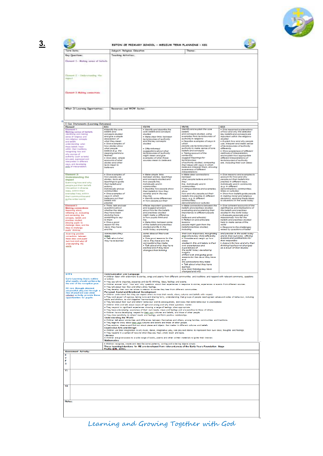

#### $\bullet$ فتف ESTON OF PRIMARY SCHOOL - MEDIUM TERM PLANNING - KSI Term Dote: Subject: Religious Education  $The net:$ **Key Questions** Teaching Activities: **Element 1 - Making sense of beliefs** Denot 2 - Onterstanding the Element 9 Making connections What If Learning Opportunities: Nesources and WOW destor:  $\begin{tabular}{|c|c|} \hline & Can Slatements & \textit{Learning Octobers)} \\ \hline \hline \textit{Linear}\\ \hline \textit{Linear}\\ \hline \textit{Linear}\\ \textit{Linear}\\ \textit{Linear} & \textit{Test} \\ \textit{Maxing } a \textit{stors} & \textit{Test} \\ \textit{Maxing } a \textit{stors} & \textit{Test} \\ \textit{convering } a \textit{stors} \\ \textit{in} \\ \textit{in} \\ \textit{in} \\ \textit{in} \\ \textit{in} \\ \textit{in} \\ \textit{in} \\ \textit{in} \\ \textit{in} \\ \textit{in} \\ \textit{in} \\$  $\begin{array}{l} \textbf{R}^{(n)} = \textbf{R}^{(n)} \textbf{R}^{(n)} = \textbf{R}^{(n)} \textbf{R}^{(n)} = \textbf{R}^{(n)} \textbf{R}^{(n)} = \textbf{R}^{(n)} \textbf{R}^{(n)} \textbf{R}^{(n)} = \textbf{R}^{(n)} \textbf{R}^{(n)} \textbf{R}^{(n)} = \textbf{R}^{(n)} \textbf{R}^{(n)} \textbf{R}^{(n)} = \textbf{R}^{(n)} \textbf{R}^{(n)} \textbf{R}^{(n)} = \textbf{R}^{(n)} \textbf{R$  $\begin{tabular}{|c|c|} \hline Y2/N4 \\ \hline * !dunctify and denoted the \\ cone is called an odd concept\\ \hline * !dides then the between \\ *!dides are the type of each step \\ has the key concept\\ at a the key concept\\ \hline. \end{tabular}$  $\begin{tabular}{|c|c|} \hline \textbf{CS3} & \textbf{CS5} & \textbf{S} & \textbf{S} & \textbf{S} & \textbf{S} & \textbf{S} & \textbf{S} & \textbf{S} & \textbf{S} & \textbf{S} & \textbf{S} & \textbf{S} & \textbf{S} & \textbf{S} & \textbf{S} & \textbf{S} & \textbf{S} & \textbf{S} & \textbf{S} & \textbf{S} & \textbf{S} & \textbf{S} & \textbf{S} & \textbf{S} & \textbf{S} & \textbf{S} & \textbf{S} & \textbf{S} &$ V5/95<br>Nientify and explain the core remary and explain the core<br>and concepts studied, astro<br>and concepts studied, astro<br>authority in religions<br>+ Describe autorpies of asys in extending mappers<br>
a Chandle ausquise of easy in<br>
which considers and provide the property of the property<br>
considers and the property of the property of the property<br>
considers and the property of the property of the prop understanding what<br>these bullets means within their traditions;<br>recognizing how and with<br>reviewing low and authority (such as turns)<br>are used, eigenessed in different and are<br>imaging and developing  $\frac{1}{2\beta\beta\beta\beta}$  of in - Offerinfermed<br>suggestions about what<br>technicalical of authority<br>manopies of what these<br>sources mean to believe a  $\label{thm:main} \begin{array}{ll} \textit{a} \textit{The } \textit{m} \textit{c} \textit{d} \textit{y} & \textit{a} \textit{a} \textit{b} \textit{c} \textit{d} \textit{d} \textit{d} \textit{d} \textit{d} \textit{d} \textit{d} \textit{d} \textit{d} \textit{d} \textit{d} \textit{d} \textit{d} \textit{d} \textit{d} \textit{d} \textit{d} \textit{d} \textit{d} \textit{d} \textit{d} \textit{d} \textit{d} \textit{d}$  $\begin{array}{l} \textbf{+ Value \textit{Arg}} & \textit{Mark} \\ \textbf{between} & \textit{Stokes}, \textit{Such} \\ \textbf{between} & \textit{Stokes}, \textit{Second} \\ \textbf{At a 1} & \textit{Stokes}, \textit{Second} \\ \textbf{At a 2} & \textit{Stokes}, \textit{Test} \\ \textbf{At a 3} & \textit{Stokes}, \textit{Test} \\ \textbf{For a 4} & \textit{Stokes}, \textit{Test} \\ \textbf{For a 4} & \textit{Stokes}, \textit{Test} \\ \textbf{For a 4} & \textit{Stokes}, \textit{Test} \\ \textbf{For a$  $\bullet$  Give measures and examples in a<br>people pointer beneficiently people pointed in the behavior of the behavior<br>people pointed in the people in the property of the people point<br>people and in community of the people in th - Give anaropies of<br>how people use<br>stories, faxts and<br>feachings to guide<br>ther beliefs<br>chings **Element 2:**<br>
Understanding the University and why<br>
Engerst and the University properties put their links<br>
University and the University way, within their<br>
their communities and their analysis and their communities and<br> Flement<sub>2</sub>  $\begin{tabular}{|c|c|} \hline \textbf{F} & \textbf{F} & \textbf{F} & \textbf{F} & \textbf{F} & \textbf{F} & \textbf{F} & \textbf{F} & \textbf{F} & \textbf{F} & \textbf{F} & \textbf{F} & \textbf{F} & \textbf{F} & \textbf{F} & \textbf{F} & \textbf{F} & \textbf{F} & \textbf{F} & \textbf{F} & \textbf{F} & \textbf{F} & \textbf{F} & \textbf{F} & \textbf{F} & \textbf{F} & \textbf{F} & \textbf{F} & \textbf{F} & \text$ mericans<br>
editors<br>
editors<br>
communities<br>
• Give energies of<br>
registers put their<br>
cellens and put their<br>
cellens and  $\begin{minipage}{0.9\textwidth} \begin{tabular}{p{0.8cm}} \textbf{K} & \textbf{F} & \textbf{F} & \textbf{F} & \textbf{F} & \textbf{F} & \textbf{F} & \textbf{F} & \textbf{F} & \textbf{F} & \textbf{F} & \textbf{F} & \textbf{F} & \textbf{F} & \textbf{F} & \textbf{F} & \textbf{F} & \textbf{F} & \textbf{F} & \textbf{F} & \textbf{F} & \textbf{F} & \textbf{F} & \textbf{F} & \textbf{F} & \textbf{F} & \textbf{F} & \textbf{$ n now people put their<br>with last inggest entreats<br>and suggest entreats<br>about how far the beliefs<br>and putches a difference<br>might make a difference<br>to how pupils think and<br>he practice<br>• Think, falk and ask<br>pvestions about .<br>Sive coherent accounts of the<br>significance and implications of  $\begin{array}{l} \bullet \ \mathsf{P}(m) \mathsf{f} \cap \mathsf{f} \mathsf{m} \mathsf{in} \mathsf{A} \mathsf{in} \mathsf{in} \mathsf{in} \mathsf{in} \mathsf{in} \mathsf{in} \\ \mathsf{in} \mathsf{in} \mathsf{H} \mathsf{in} \mathsf{in} \mathsf{in} \mathsf{in} \mathsf{in} \\ \mathsf{the} \mathsf{H} \mathsf{in} \mathsf{in} \mathsf{in} \mathsf{in} \mathsf{in} \\ \mathsf{in} \mathsf{in} \mathsf{in} \mathsf{in} \mathsf{in} \mathsf{in} \mathsf{in$ + Give cohesent accounts of<br>olympication and implications<br>the beliefs and predications<br>on the distribution of the second part<br>intervals processes the beliefs of the<br>helion and predicate shidled<br>helion and predicate shidled the<br>Alaka links between some<br>of the beliefs and practices<br>studied and the in the<br>sould fodey, expressing \* mission and articulate<br>|pacyle might' gain from the<br>|pacyle might' gain from the<br>|holeding eodd<br>+ Respond to the challenges<br>reined by questions of bellef and practice in the world today<br>and in their own lives, offering<br>reasons and justifications for<br>their responses<br>• Account for how and why the<br>same responses<br>as a result of their studies ecra issue, a community<br>clearly<br>clearly<br>expond reasons for the<br>views they have and the<br>connections they make<br>a fask about what they have<br>changed their thinking<br>changed their thinking their own responses, recognising<br>that others may think differently.<br>• Consider and weigh up how l<br>| connections they make.<br>• Talk about what<br>they have learned Consider and weigh up how<br>ideas<br>bleas<br>own experiences and<br>own experiences and<br>experiences of<br>their word foday, developing<br>insights<br>of their own and giving good<br>reasons for the views they have<br>and reasons for the views they ha<br>and<br>the connections they make<br>• Talk about what they have<br>leamed. learned,<br>how their thinking may have<br>changed and why Communication and Language<br>• Children listen with enjoyment to stories, songs and poems from different communities and traditions and respond with relevant comments, questions Communication and Language<br>
Considerer listen with enjoying the stories, songs and poems from different communities and traditions and respond with relevant comments, questions<br>
or actions.<br>
They use talk to organise, sequ Early Learning Goals outline<br>what pupils should achieve<br>the end of the reception year RE can, through planned,<br>purposeful play and through a<br>mix of adult-led and child<br>intiated activity, provide these<br>opportunities for pupils: ן maturematurs<br>• children recognise, create and describe some patterns, sorting and ordering objects simply.<br>• These learning intentions for RE are developed from relevantareas of the Early Years Foundation Stage<br>• Prof Assessment Activity: Ē  $\overline{M}$  $\overline{v}$  $rac{1}{\sqrt{2}}$

Learning and Growing Together with God

**3.**